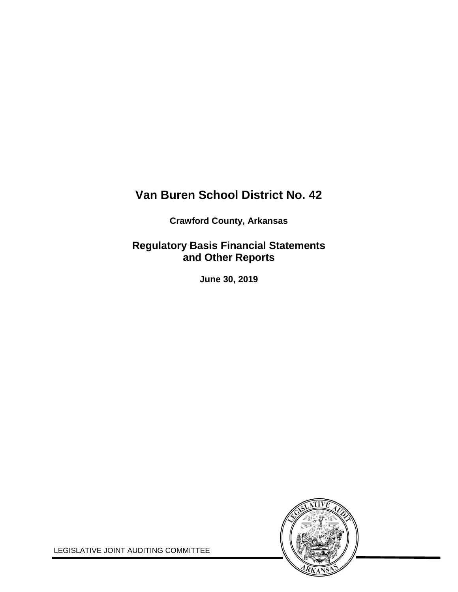# **Van Buren School District No. 42**

**Crawford County, Arkansas**

# **Regulatory Basis Financial Statements and Other Reports**

**June 30, 2019**



LEGISLATIVE JOINT AUDITING COMMITTEE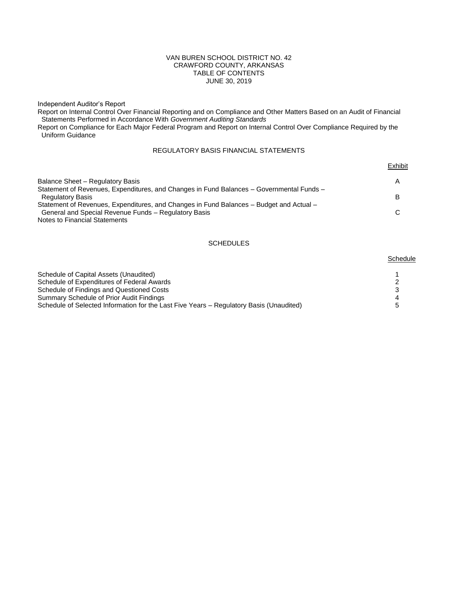#### VAN BUREN SCHOOL DISTRICT NO. 42 CRAWFORD COUNTY, ARKANSAS TABLE OF CONTENTS JUNE 30, 2019

Independent Auditor's Report

Report on Internal Control Over Financial Reporting and on Compliance and Other Matters Based on an Audit of Financial Statements Performed in Accordance With *Government Auditing Standards*

Report on Compliance for Each Major Federal Program and Report on Internal Control Over Compliance Required by the Uniform Guidance

# REGULATORY BASIS FINANCIAL STATEMENTS

|                                                                                                              | Exhibit |
|--------------------------------------------------------------------------------------------------------------|---------|
| Balance Sheet - Regulatory Basis                                                                             | Α       |
| Statement of Revenues, Expenditures, and Changes in Fund Balances – Governmental Funds –<br>Regulatory Basis | В       |
| Statement of Revenues, Expenditures, and Changes in Fund Balances – Budget and Actual –                      |         |
| General and Special Revenue Funds – Regulatory Basis                                                         |         |
| Notes to Financial Statements                                                                                |         |

# **SCHEDULES**

**Schedule** 

| Schedule of Capital Assets (Unaudited)                                                  |   |
|-----------------------------------------------------------------------------------------|---|
| Schedule of Expenditures of Federal Awards                                              |   |
| Schedule of Findings and Questioned Costs                                               |   |
| Summary Schedule of Prior Audit Findings                                                |   |
| Schedule of Selected Information for the Last Five Years – Regulatory Basis (Unaudited) | ∽ |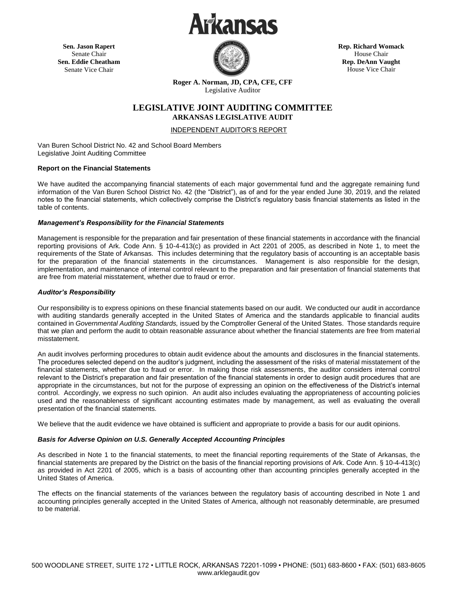**Irkansas** 

**Sen. Jason Rapert** Senate Chair **Sen. Eddie Cheatham** Senate Vice Chair



**Rep. Richard Womack** House Chair **Rep. DeAnn Vaught** House Vice Chair

**Roger A. Norman, JD, CPA, CFE, CFF** Legislative Auditor

# **LEGISLATIVE JOINT AUDITING COMMITTEE ARKANSAS LEGISLATIVE AUDIT**

INDEPENDENT AUDITOR'S REPORT

Van Buren School District No. 42 and School Board Members Legislative Joint Auditing Committee

# **Report on the Financial Statements**

We have audited the accompanying financial statements of each major governmental fund and the aggregate remaining fund information of the Van Buren School District No. 42 (the "District"), as of and for the year ended June 30, 2019, and the related notes to the financial statements, which collectively comprise the District's regulatory basis financial statements as listed in the table of contents.

### *Management's Responsibility for the Financial Statements*

Management is responsible for the preparation and fair presentation of these financial statements in accordance with the financial reporting provisions of Ark. Code Ann. § 10-4-413(c) as provided in Act 2201 of 2005, as described in Note 1, to meet the requirements of the State of Arkansas. This includes determining that the regulatory basis of accounting is an acceptable basis for the preparation of the financial statements in the circumstances. Management is also responsible for the design, implementation, and maintenance of internal control relevant to the preparation and fair presentation of financial statements that are free from material misstatement, whether due to fraud or error.

## *Auditor's Responsibility*

Our responsibility is to express opinions on these financial statements based on our audit. We conducted our audit in accordance with auditing standards generally accepted in the United States of America and the standards applicable to financial audits contained in *Governmental Auditing Standards,* issued by the Comptroller General of the United States. Those standards require that we plan and perform the audit to obtain reasonable assurance about whether the financial statements are free from material misstatement.

An audit involves performing procedures to obtain audit evidence about the amounts and disclosures in the financial statements. The procedures selected depend on the auditor's judgment, including the assessment of the risks of material misstatement of the financial statements, whether due to fraud or error. In making those risk assessments, the auditor considers internal control relevant to the District's preparation and fair presentation of the financial statements in order to design audit procedures that are appropriate in the circumstances, but not for the purpose of expressing an opinion on the effectiveness of the District's internal control. Accordingly, we express no such opinion. An audit also includes evaluating the appropriateness of accounting policies used and the reasonableness of significant accounting estimates made by management, as well as evaluating the overall presentation of the financial statements.

We believe that the audit evidence we have obtained is sufficient and appropriate to provide a basis for our audit opinions.

# *Basis for Adverse Opinion on U.S. Generally Accepted Accounting Principles*

As described in Note 1 to the financial statements, to meet the financial reporting requirements of the State of Arkansas, the financial statements are prepared by the District on the basis of the financial reporting provisions of Ark. Code Ann. § 10-4-413(c) as provided in Act 2201 of 2005, which is a basis of accounting other than accounting principles generally accepted in the United States of America.

The effects on the financial statements of the variances between the regulatory basis of accounting described in Note 1 and accounting principles generally accepted in the United States of America, although not reasonably determinable, are presumed to be material.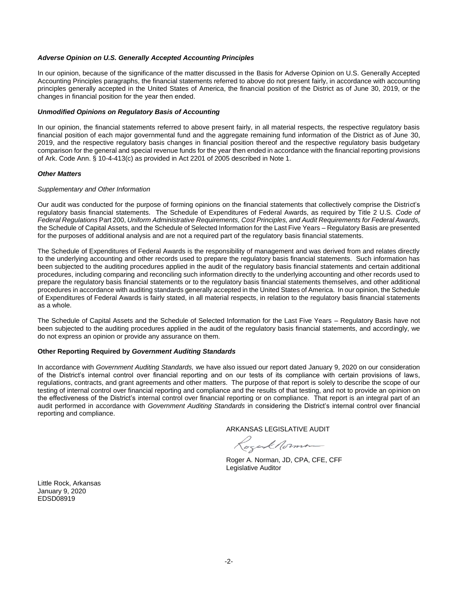#### *Adverse Opinion on U.S. Generally Accepted Accounting Principles*

In our opinion, because of the significance of the matter discussed in the Basis for Adverse Opinion on U.S. Generally Accepted Accounting Principles paragraphs, the financial statements referred to above do not present fairly, in accordance with accounting principles generally accepted in the United States of America, the financial position of the District as of June 30, 2019, or the changes in financial position for the year then ended.

#### *Unmodified Opinions on Regulatory Basis of Accounting*

In our opinion, the financial statements referred to above present fairly, in all material respects, the respective regulatory basis financial position of each major governmental fund and the aggregate remaining fund information of the District as of June 30, 2019, and the respective regulatory basis changes in financial position thereof and the respective regulatory basis budgetary comparison for the general and special revenue funds for the year then ended in accordance with the financial reporting provisions of Ark. Code Ann. § 10-4-413(c) as provided in Act 2201 of 2005 described in Note 1.

#### *Other Matters*

#### *Supplementary and Other Information*

Our audit was conducted for the purpose of forming opinions on the financial statements that collectively comprise the District's regulatory basis financial statements. The Schedule of Expenditures of Federal Awards, as required by Title 2 U.S. *Code of Federal Regulations* Part 200, *Uniform Administrative Requirements, Cost Principles, and Audit Requirements for Federal Awards,*  the Schedule of Capital Assets, and the Schedule of Selected Information for the Last Five Years – Regulatory Basis are presented for the purposes of additional analysis and are not a required part of the regulatory basis financial statements.

The Schedule of Expenditures of Federal Awards is the responsibility of management and was derived from and relates directly to the underlying accounting and other records used to prepare the regulatory basis financial statements. Such information has been subjected to the auditing procedures applied in the audit of the regulatory basis financial statements and certain additional procedures, including comparing and reconciling such information directly to the underlying accounting and other records used to prepare the regulatory basis financial statements or to the regulatory basis financial statements themselves, and other additional procedures in accordance with auditing standards generally accepted in the United States of America. In our opinion, the Schedule of Expenditures of Federal Awards is fairly stated, in all material respects, in relation to the regulatory basis financial statements as a whole.

The Schedule of Capital Assets and the Schedule of Selected Information for the Last Five Years – Regulatory Basis have not been subjected to the auditing procedures applied in the audit of the regulatory basis financial statements, and accordingly, we do not express an opinion or provide any assurance on them.

#### **Other Reporting Required by** *Government Auditing Standards*

In accordance with *Government Auditing Standards,* we have also issued our report dated January 9, 2020 on our consideration of the District's internal control over financial reporting and on our tests of its compliance with certain provisions of laws, regulations, contracts, and grant agreements and other matters. The purpose of that report is solely to describe the scope of our testing of internal control over financial reporting and compliance and the results of that testing, and not to provide an opinion on the effectiveness of the District's internal control over financial reporting or on compliance. That report is an integral part of an audit performed in accordance with *Government Auditing Standards* in considering the District's internal control over financial reporting and compliance.

ARKANSAS LEGISLATIVE AUDIT

Rozek Norman

Roger A. Norman, JD, CPA, CFE, CFF Legislative Auditor

Little Rock, Arkansas January 9, 2020 EDSD08919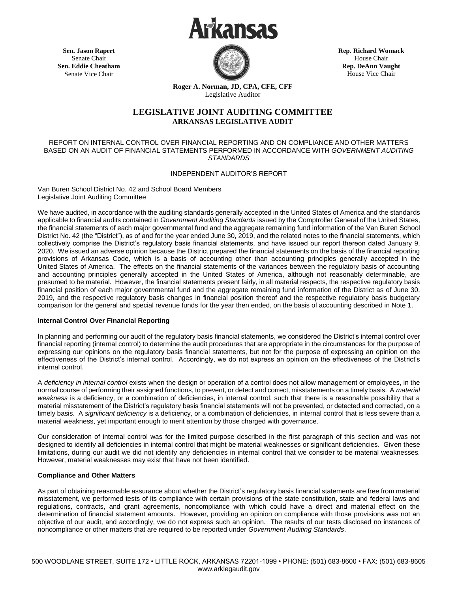

**Sen. Jason Rapert** Senate Chair **Sen. Eddie Cheatham** Senate Vice Chair

**Rep. Richard Womack** House Chair **Rep. DeAnn Vaught** House Vice Chair

**Roger A. Norman, JD, CPA, CFE, CFF** Legislative Auditor

# **LEGISLATIVE JOINT AUDITING COMMITTEE ARKANSAS LEGISLATIVE AUDIT**

#### REPORT ON INTERNAL CONTROL OVER FINANCIAL REPORTING AND ON COMPLIANCE AND OTHER MATTERS BASED ON AN AUDIT OF FINANCIAL STATEMENTS PERFORMED IN ACCORDANCE WITH *GOVERNMENT AUDITING STANDARDS*

# INDEPENDENT AUDITOR'S REPORT

Van Buren School District No. 42 and School Board Members Legislative Joint Auditing Committee

We have audited, in accordance with the auditing standards generally accepted in the United States of America and the standards applicable to financial audits contained in *Government Auditing Standards* issued by the Comptroller General of the United States, the financial statements of each major governmental fund and the aggregate remaining fund information of the Van Buren School District No. 42 (the "District"), as of and for the year ended June 30, 2019, and the related notes to the financial statements, which collectively comprise the District's regulatory basis financial statements, and have issued our report thereon dated January 9, 2020. We issued an adverse opinion because the District prepared the financial statements on the basis of the financial reporting provisions of Arkansas Code, which is a basis of accounting other than accounting principles generally accepted in the United States of America. The effects on the financial statements of the variances between the regulatory basis of accounting and accounting principles generally accepted in the United States of America, although not reasonably determinable, are presumed to be material. However, the financial statements present fairly, in all material respects, the respective regulatory basis financial position of each major governmental fund and the aggregate remaining fund information of the District as of June 30, 2019, and the respective regulatory basis changes in financial position thereof and the respective regulatory basis budgetary comparison for the general and special revenue funds for the year then ended, on the basis of accounting described in Note 1.

### **Internal Control Over Financial Reporting**

In planning and performing our audit of the regulatory basis financial statements, we considered the District's internal control over financial reporting (internal control) to determine the audit procedures that are appropriate in the circumstances for the purpose of expressing our opinions on the regulatory basis financial statements, but not for the purpose of expressing an opinion on the effectiveness of the District's internal control. Accordingly, we do not express an opinion on the effectiveness of the District's internal control.

A *deficiency in internal control* exists when the design or operation of a control does not allow management or employees, in the normal course of performing their assigned functions, to prevent, or detect and correct, misstatements on a timely basis. A *material weakness* is a deficiency, or a combination of deficiencies, in internal control, such that there is a reasonable possibility that a material misstatement of the District's regulatory basis financial statements will not be prevented, or detected and corrected, on a timely basis. A *significant deficiency* is a deficiency, or a combination of deficiencies, in internal control that is less severe than a material weakness, yet important enough to merit attention by those charged with governance.

Our consideration of internal control was for the limited purpose described in the first paragraph of this section and was not designed to identify all deficiencies in internal control that might be material weaknesses or significant deficiencies. Given these limitations, during our audit we did not identify any deficiencies in internal control that we consider to be material weaknesses. However, material weaknesses may exist that have not been identified.

# **Compliance and Other Matters**

As part of obtaining reasonable assurance about whether the District's regulatory basis financial statements are free from material misstatement, we performed tests of its compliance with certain provisions of the state constitution, state and federal laws and regulations, contracts, and grant agreements, noncompliance with which could have a direct and material effect on the determination of financial statement amounts. However, providing an opinion on compliance with those provisions was not an objective of our audit, and accordingly, we do not express such an opinion. The results of our tests disclosed no instances of noncompliance or other matters that are required to be reported under *Government Auditing Standards*.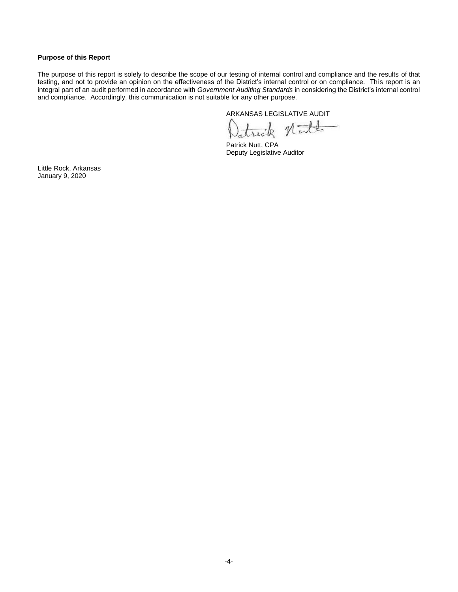# **Purpose of this Report**

The purpose of this report is solely to describe the scope of our testing of internal control and compliance and the results of that testing, and not to provide an opinion on the effectiveness of the District's internal control or on compliance. This report is an integral part of an audit performed in accordance with *Government Auditing Standards* in considering the District's internal control and compliance. Accordingly, this communication is not suitable for any other purpose.

ARKANSAS LEGISLATIVE AUDIT

Nitt k

Patrick Nutt, CPA Deputy Legislative Auditor

Little Rock, Arkansas January 9, 2020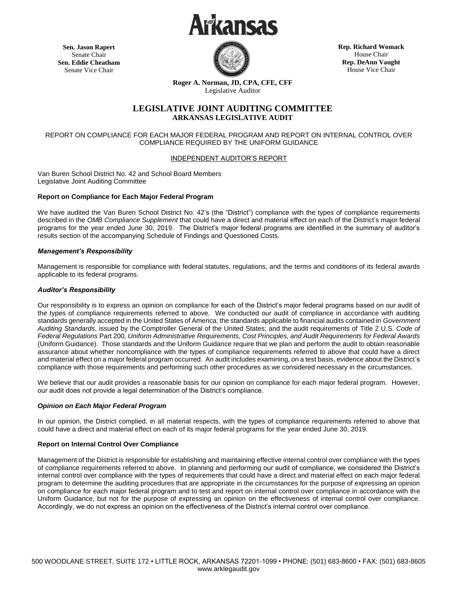rkansas

**Sen. Jason Rapert** Senate Chair **Sen. Eddie Cheatham** Senate Vice Chair



**Rep. Richard Womack** House Chair **Rep. DeAnn Vaught** House Vice Chair

**Roger A. Norman, JD, CPA, CFE, CFF** Legislative Auditor

# **LEGISLATIVE JOINT AUDITING COMMITTEE ARKANSAS LEGISLATIVE AUDIT**

## REPORT ON COMPLIANCE FOR EACH MAJOR FEDERAL PROGRAM AND REPORT ON INTERNAL CONTROL OVER COMPLIANCE REQUIRED BY THE UNIFORM GUIDANCE

# INDEPENDENT AUDITOR'S REPORT

Van Buren School District No. 42 and School Board Members Legislative Joint Auditing Committee

#### **Report on Compliance for Each Major Federal Program**

We have audited the Van Buren School District No. 42's (the "District") compliance with the types of compliance requirements described in the *OMB Compliance Supplement* that could have a direct and material effect on each of the District's major federal programs for the year ended June 30, 2019. The District's major federal programs are identified in the summary of auditor's results section of the accompanying Schedule of Findings and Questioned Costs.

#### *Management's Responsibility*

Management is responsible for compliance with federal statutes, regulations, and the terms and conditions of its federal awards applicable to its federal programs.

#### *Auditor's Responsibility*

Our responsibility is to express an opinion on compliance for each of the District's major federal programs based on our audit of the types of compliance requirements referred to above. We conducted our audit of compliance in accordance with auditing standards generally accepted in the United States of America; the standards applicable to financial audits contained in *Government Auditing Standards*, issued by the Comptroller General of the United States; and the audit requirements of Title 2 U.S. *Code of Federal Regulations* Part 200*, Uniform Administrative Requirements, Cost Principles, and Audit Requirements for Federal Awards* (Uniform Guidance). Those standards and the Uniform Guidance require that we plan and perform the audit to obtain reasonable assurance about whether noncompliance with the types of compliance requirements referred to above that could have a direct and material effect on a major federal program occurred. An audit includes examining, on a test basis, evidence about the District's compliance with those requirements and performing such other procedures as we considered necessary in the circumstances.

We believe that our audit provides a reasonable basis for our opinion on compliance for each major federal program. However, our audit does not provide a legal determination of the District's compliance.

### *Opinion on Each Major Federal Program*

In our opinion, the District complied, in all material respects, with the types of compliance requirements referred to above that could have a direct and material effect on each of its major federal programs for the year ended June 30, 2019.

### **Report on Internal Control Over Compliance**

Management of the District is responsible for establishing and maintaining effective internal control over compliance with the types of compliance requirements referred to above. In planning and performing our audit of compliance, we considered the District's internal control over compliance with the types of requirements that could have a direct and material effect on each major federal program to determine the auditing procedures that are appropriate in the circumstances for the purpose of expressing an opinion on compliance for each major federal program and to test and report on internal control over compliance in accordance with the Uniform Guidance, but not for the purpose of expressing an opinion on the effectiveness of internal control over compliance. Accordingly, we do not express an opinion on the effectiveness of the District's internal control over compliance.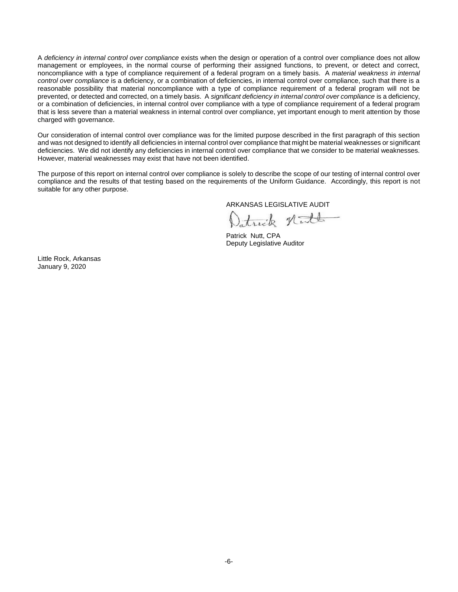A *deficiency in internal control over compliance* exists when the design or operation of a control over compliance does not allow management or employees, in the normal course of performing their assigned functions, to prevent, or detect and correct, noncompliance with a type of compliance requirement of a federal program on a timely basis. A *material weakness in internal control over compliance* is a deficiency, or a combination of deficiencies, in internal control over compliance, such that there is a reasonable possibility that material noncompliance with a type of compliance requirement of a federal program will not be prevented, or detected and corrected, on a timely basis. A *significant deficiency in internal control over compliance* is a deficiency, or a combination of deficiencies, in internal control over compliance with a type of compliance requirement of a federal program that is less severe than a material weakness in internal control over compliance, yet important enough to merit attention by those charged with governance.

Our consideration of internal control over compliance was for the limited purpose described in the first paragraph of this section and was not designed to identify all deficiencies in internal control over compliance that might be material weaknesses or significant deficiencies. We did not identify any deficiencies in internal control over compliance that we consider to be material weaknesses. However, material weaknesses may exist that have not been identified.

The purpose of this report on internal control over compliance is solely to describe the scope of our testing of internal control over compliance and the results of that testing based on the requirements of the Uniform Guidance. Accordingly, this report is not suitable for any other purpose.

ARKANSAS LEGISLATIVE AUDIT

trick not

Patrick Nutt, CPA Deputy Legislative Auditor

Little Rock, Arkansas January 9, 2020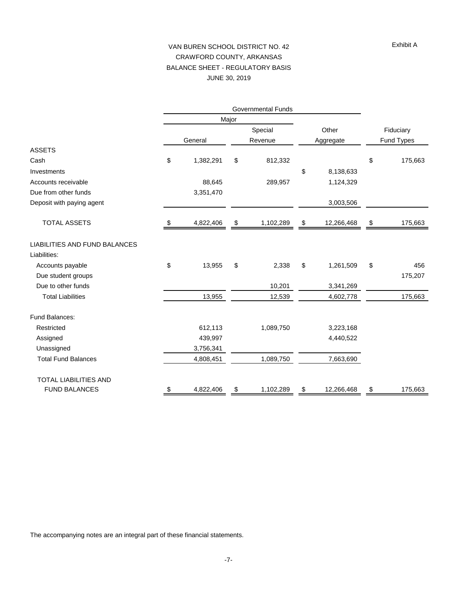# VAN BUREN SCHOOL DISTRICT NO. 42 CRAWFORD COUNTY, ARKANSAS BALANCE SHEET - REGULATORY BASIS JUNE 30, 2019

|                                      | <b>Governmental Funds</b> |           |       |           |    |            |            |         |  |
|--------------------------------------|---------------------------|-----------|-------|-----------|----|------------|------------|---------|--|
|                                      |                           |           | Major |           |    |            |            |         |  |
|                                      |                           |           |       | Special   |    | Other      | Fiduciary  |         |  |
|                                      |                           | General   |       | Revenue   |    | Aggregate  | Fund Types |         |  |
| <b>ASSETS</b>                        |                           |           |       |           |    |            |            |         |  |
| Cash                                 | \$                        | 1,382,291 | \$    | 812,332   |    |            | \$         | 175,663 |  |
| Investments                          |                           |           |       |           | \$ | 8,138,633  |            |         |  |
| Accounts receivable                  |                           | 88,645    |       | 289,957   |    | 1,124,329  |            |         |  |
| Due from other funds                 |                           | 3,351,470 |       |           |    |            |            |         |  |
| Deposit with paying agent            |                           |           |       |           |    | 3,003,506  |            |         |  |
|                                      |                           |           |       |           |    |            |            |         |  |
| <b>TOTAL ASSETS</b>                  | \$                        | 4,822,406 | \$    | 1,102,289 | \$ | 12,266,468 | \$         | 175,663 |  |
|                                      |                           |           |       |           |    |            |            |         |  |
| <b>LIABILITIES AND FUND BALANCES</b> |                           |           |       |           |    |            |            |         |  |
| Liabilities:                         |                           |           |       |           |    |            |            |         |  |
| Accounts payable                     | \$                        | 13,955    | \$    | 2,338     | \$ | 1,261,509  | \$         | 456     |  |
| Due student groups                   |                           |           |       |           |    |            |            | 175,207 |  |
| Due to other funds                   |                           |           |       | 10,201    |    | 3,341,269  |            |         |  |
| <b>Total Liabilities</b>             |                           | 13,955    |       | 12,539    |    | 4,602,778  |            | 175,663 |  |
|                                      |                           |           |       |           |    |            |            |         |  |
| Fund Balances:                       |                           |           |       |           |    |            |            |         |  |
| Restricted                           |                           | 612,113   |       | 1,089,750 |    | 3,223,168  |            |         |  |
| Assigned                             |                           | 439,997   |       |           |    | 4,440,522  |            |         |  |
| Unassigned                           |                           | 3,756,341 |       |           |    |            |            |         |  |
| <b>Total Fund Balances</b>           |                           | 4,808,451 |       | 1,089,750 |    | 7,663,690  |            |         |  |
|                                      |                           |           |       |           |    |            |            |         |  |
| TOTAL LIABILITIES AND                |                           |           |       |           |    |            |            |         |  |
| <b>FUND BALANCES</b>                 | \$                        | 4,822,406 | \$    | 1,102,289 | \$ | 12,266,468 | \$         | 175,663 |  |

The accompanying notes are an integral part of these financial statements.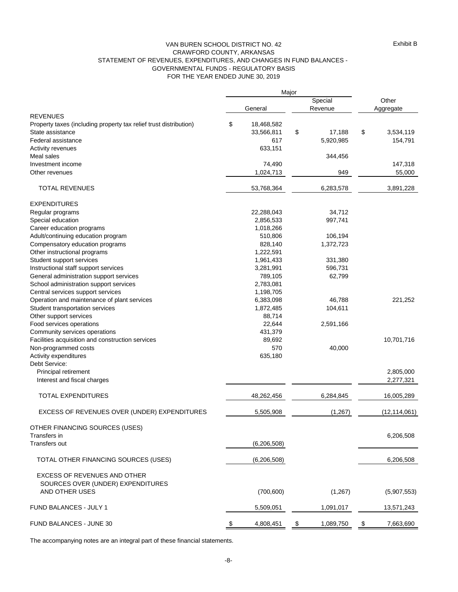## GOVERNMENTAL FUNDS - REGULATORY BASIS FOR THE YEAR ENDED JUNE 30, 2019 VAN BUREN SCHOOL DISTRICT NO. 42 CRAWFORD COUNTY, ARKANSAS STATEMENT OF REVENUES, EXPENDITURES, AND CHANGES IN FUND BALANCES -

|                                                                   |                  | Major |           |                        |
|-------------------------------------------------------------------|------------------|-------|-----------|------------------------|
|                                                                   |                  |       | Special   | Other                  |
|                                                                   | General          |       | Revenue   | Aggregate              |
| <b>REVENUES</b>                                                   |                  |       |           |                        |
| Property taxes (including property tax relief trust distribution) | \$<br>18,468,582 |       |           |                        |
| State assistance                                                  | 33,566,811       | \$    | 17,188    | \$<br>3,534,119        |
| Federal assistance                                                | 617              |       | 5,920,985 | 154,791                |
| Activity revenues                                                 | 633,151          |       |           |                        |
| Meal sales                                                        |                  |       | 344,456   |                        |
| Investment income                                                 | 74,490           |       |           | 147,318                |
| Other revenues                                                    | 1,024,713        |       | 949       | 55,000                 |
| <b>TOTAL REVENUES</b>                                             | 53,768,364       |       | 6,283,578 | 3,891,228              |
| <b>EXPENDITURES</b>                                               |                  |       |           |                        |
| Regular programs                                                  | 22,288,043       |       | 34,712    |                        |
| Special education                                                 | 2,856,533        |       | 997,741   |                        |
| Career education programs                                         | 1,018,266        |       |           |                        |
| Adult/continuing education program                                | 510,806          |       | 106,194   |                        |
| Compensatory education programs                                   | 828,140          |       | 1,372,723 |                        |
| Other instructional programs                                      | 1,222,591        |       |           |                        |
| Student support services                                          | 1,961,433        |       | 331,380   |                        |
| Instructional staff support services                              | 3,281,991        |       | 596,731   |                        |
| General administration support services                           | 789,105          |       | 62,799    |                        |
| School administration support services                            | 2,783,081        |       |           |                        |
| Central services support services                                 | 1,198,705        |       |           |                        |
| Operation and maintenance of plant services                       | 6,383,098        |       | 46,788    | 221,252                |
| Student transportation services                                   | 1,872,485        |       | 104,611   |                        |
| Other support services                                            | 88,714           |       |           |                        |
| Food services operations                                          | 22,644           |       | 2,591,166 |                        |
| Community services operations                                     | 431,379          |       |           |                        |
| Facilities acquisition and construction services                  | 89,692           |       |           | 10,701,716             |
| Non-programmed costs                                              | 570              |       | 40,000    |                        |
| Activity expenditures                                             | 635,180          |       |           |                        |
|                                                                   |                  |       |           |                        |
| Debt Service:                                                     |                  |       |           |                        |
| Principal retirement<br>Interest and fiscal charges               |                  |       |           | 2,805,000<br>2,277,321 |
| <b>TOTAL EXPENDITURES</b>                                         | 48,262,456       |       | 6,284,845 | 16,005,289             |
| EXCESS OF REVENUES OVER (UNDER) EXPENDITURES                      | 5,505,908        |       | (1, 267)  | (12, 114, 061)         |
| OTHER FINANCING SOURCES (USES)                                    |                  |       |           |                        |
| Transfers in                                                      |                  |       |           | 6,206,508              |
| Transfers out                                                     | (6, 206, 508)    |       |           |                        |
| TOTAL OTHER FINANCING SOURCES (USES)                              | (6, 206, 508)    |       |           | 6,206,508              |
| EXCESS OF REVENUES AND OTHER                                      |                  |       |           |                        |
| SOURCES OVER (UNDER) EXPENDITURES<br>AND OTHER USES               | (700, 600)       |       | (1,267)   | (5,907,553)            |
| FUND BALANCES - JULY 1                                            | 5,509,051        |       | 1,091,017 | 13,571,243             |
| FUND BALANCES - JUNE 30                                           | \$<br>4,808,451  | \$    | 1,089,750 | \$<br>7,663,690        |

The accompanying notes are an integral part of these financial statements.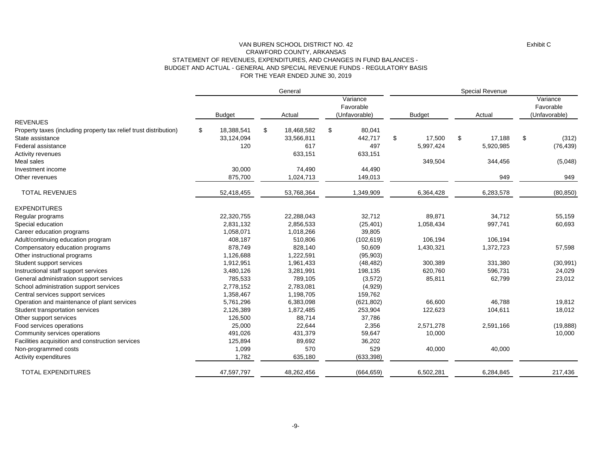#### FOR THE YEAR ENDED JUNE 30, 2019 VAN BUREN SCHOOL DISTRICT NO. 42 CRAWFORD COUNTY, ARKANSAS STATEMENT OF REVENUES, EXPENDITURES, AND CHANGES IN FUND BALANCES - BUDGET AND ACTUAL - GENERAL AND SPECIAL REVENUE FUNDS - REGULATORY BASIS

|                                                                   | General |               |    |            |    |                                        | Special Revenue |               |                         |           |    |                                        |
|-------------------------------------------------------------------|---------|---------------|----|------------|----|----------------------------------------|-----------------|---------------|-------------------------|-----------|----|----------------------------------------|
|                                                                   |         | <b>Budget</b> |    | Actual     |    | Variance<br>Favorable<br>(Unfavorable) |                 | <b>Budget</b> |                         | Actual    |    | Variance<br>Favorable<br>(Unfavorable) |
| <b>REVENUES</b>                                                   |         |               |    |            |    |                                        |                 |               |                         |           |    |                                        |
| Property taxes (including property tax relief trust distribution) | \$      | 18,388,541    | \$ | 18,468,582 | \$ | 80,041                                 |                 |               |                         |           |    |                                        |
| State assistance                                                  |         | 33,124,094    |    | 33,566,811 |    | 442,717                                | \$              | 17,500        | $\sqrt[6]{\frac{1}{2}}$ | 17,188    | \$ | (312)                                  |
| Federal assistance                                                |         | 120           |    | 617        |    | 497                                    |                 | 5,997,424     |                         | 5,920,985 |    | (76, 439)                              |
| Activity revenues                                                 |         |               |    | 633,151    |    | 633,151                                |                 |               |                         |           |    |                                        |
| Meal sales                                                        |         |               |    |            |    |                                        |                 | 349,504       |                         | 344,456   |    | (5,048)                                |
| Investment income                                                 |         | 30,000        |    | 74,490     |    | 44,490                                 |                 |               |                         |           |    |                                        |
| Other revenues                                                    |         | 875,700       |    | 1,024,713  |    | 149,013                                |                 |               |                         | 949       |    | 949                                    |
| <b>TOTAL REVENUES</b>                                             |         | 52,418,455    |    | 53,768,364 |    | 1,349,909                              |                 | 6,364,428     |                         | 6,283,578 |    | (80, 850)                              |
| <b>EXPENDITURES</b>                                               |         |               |    |            |    |                                        |                 |               |                         |           |    |                                        |
| Regular programs                                                  |         | 22,320,755    |    | 22,288,043 |    | 32,712                                 |                 | 89,871        |                         | 34,712    |    | 55,159                                 |
| Special education                                                 |         | 2,831,132     |    | 2,856,533  |    | (25, 401)                              |                 | 1,058,434     |                         | 997,741   |    | 60,693                                 |
| Career education programs                                         |         | 1,058,071     |    | 1,018,266  |    | 39,805                                 |                 |               |                         |           |    |                                        |
| Adult/continuing education program                                |         | 408,187       |    | 510,806    |    | (102, 619)                             |                 | 106,194       |                         | 106,194   |    |                                        |
| Compensatory education programs                                   |         | 878,749       |    | 828,140    |    | 50,609                                 |                 | 1,430,321     |                         | 1,372,723 |    | 57,598                                 |
| Other instructional programs                                      |         | 1,126,688     |    | 1,222,591  |    | (95, 903)                              |                 |               |                         |           |    |                                        |
| Student support services                                          |         | 1,912,951     |    | 1,961,433  |    | (48, 482)                              |                 | 300,389       |                         | 331,380   |    | (30, 991)                              |
| Instructional staff support services                              |         | 3,480,126     |    | 3,281,991  |    | 198,135                                |                 | 620,760       |                         | 596,731   |    | 24,029                                 |
| General administration support services                           |         | 785,533       |    | 789,105    |    | (3,572)                                |                 | 85,811        |                         | 62,799    |    | 23,012                                 |
| School administration support services                            |         | 2,778,152     |    | 2,783,081  |    | (4,929)                                |                 |               |                         |           |    |                                        |
| Central services support services                                 |         | 1,358,467     |    | 1,198,705  |    | 159,762                                |                 |               |                         |           |    |                                        |
| Operation and maintenance of plant services                       |         | 5,761,296     |    | 6,383,098  |    | (621, 802)                             |                 | 66,600        |                         | 46,788    |    | 19,812                                 |
| Student transportation services                                   |         | 2,126,389     |    | 1,872,485  |    | 253,904                                |                 | 122,623       |                         | 104,611   |    | 18,012                                 |
| Other support services                                            |         | 126,500       |    | 88,714     |    | 37,786                                 |                 |               |                         |           |    |                                        |
| Food services operations                                          |         | 25,000        |    | 22,644     |    | 2,356                                  |                 | 2,571,278     |                         | 2,591,166 |    | (19, 888)                              |
| Community services operations                                     |         | 491,026       |    | 431,379    |    | 59,647                                 |                 | 10,000        |                         |           |    | 10,000                                 |
| Facilities acquisition and construction services                  |         | 125,894       |    | 89,692     |    | 36,202                                 |                 |               |                         |           |    |                                        |
| Non-programmed costs                                              |         | 1,099         |    | 570        |    | 529                                    |                 | 40,000        |                         | 40,000    |    |                                        |
| Activity expenditures                                             |         | 1,782         |    | 635,180    |    | (633, 398)                             |                 |               |                         |           |    |                                        |
| <b>TOTAL EXPENDITURES</b>                                         |         | 47,597,797    |    | 48,262,456 |    | (664, 659)                             |                 | 6,502,281     |                         | 6,284,845 |    | 217,436                                |
|                                                                   |         |               |    |            |    |                                        |                 |               |                         |           |    |                                        |

Exhibit C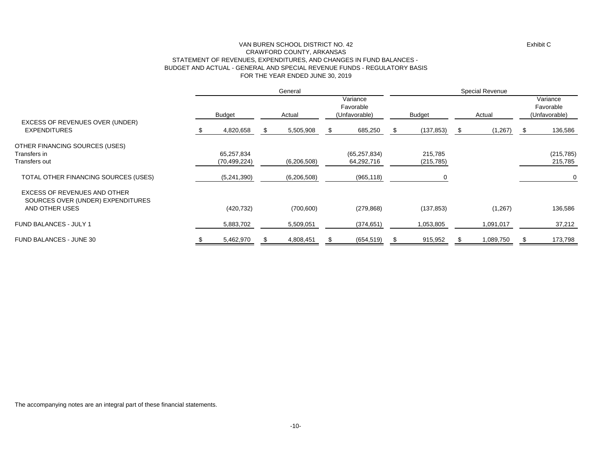#### FOR THE YEAR ENDED JUNE 30, 2019 VAN BUREN SCHOOL DISTRICT NO. 42 CRAWFORD COUNTY, ARKANSAS STATEMENT OF REVENUES, EXPENDITURES, AND CHANGES IN FUND BALANCES - BUDGET AND ACTUAL - GENERAL AND SPECIAL REVENUE FUNDS - REGULATORY BASIS

|                                                                                     |                              | General       |    |                                        | Special Revenue |                       |  |           |    |                                        |
|-------------------------------------------------------------------------------------|------------------------------|---------------|----|----------------------------------------|-----------------|-----------------------|--|-----------|----|----------------------------------------|
|                                                                                     | <b>Budget</b>                | Actual        |    | Variance<br>Favorable<br>(Unfavorable) |                 | <b>Budget</b>         |  | Actual    |    | Variance<br>Favorable<br>(Unfavorable) |
| EXCESS OF REVENUES OVER (UNDER)<br>EXPENDITURES                                     | 4,820,658                    | 5,505,908     | S. | 685,250                                | - 22            | (137, 853)            |  | (1, 267)  | S. | 136,586                                |
| OTHER FINANCING SOURCES (USES)<br>Transfers in<br>Transfers out                     | 65,257,834<br>(70, 499, 224) | (6,206,508)   |    | (65, 257, 834)<br>64,292,716           |                 | 215,785<br>(215, 785) |  |           |    | (215, 785)<br>215,785                  |
| TOTAL OTHER FINANCING SOURCES (USES)                                                | (5,241,390)                  | (6, 206, 508) |    | (965, 118)                             |                 | O                     |  |           |    | 0                                      |
| EXCESS OF REVENUES AND OTHER<br>SOURCES OVER (UNDER) EXPENDITURES<br>AND OTHER USES | (420, 732)                   | (700, 600)    |    | (279, 868)                             |                 | (137, 853)            |  | (1,267)   |    | 136,586                                |
| <b>FUND BALANCES - JULY 1</b>                                                       | 5,883,702                    | 5,509,051     |    | (374, 651)                             |                 | 1,053,805             |  | 1,091,017 |    | 37,212                                 |
| FUND BALANCES - JUNE 30                                                             | 5,462,970                    | 4,808,451     |    | (654, 519)                             |                 | 915,952               |  | 1,089,750 |    | 173,798                                |

The accompanying notes are an integral part of these financial statements.

Exhibit C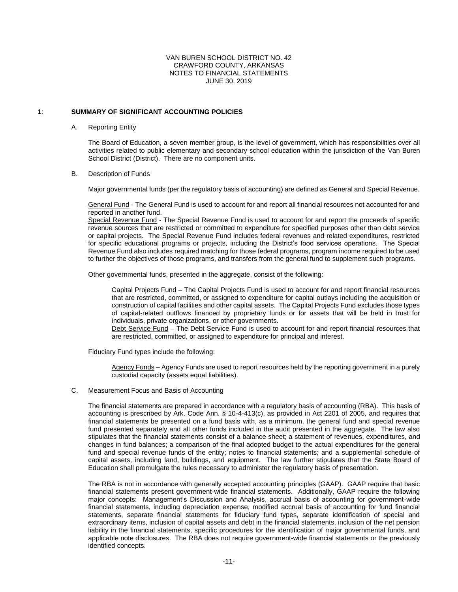## **1**: **SUMMARY OF SIGNIFICANT ACCOUNTING POLICIES**

### A. Reporting Entity

The Board of Education, a seven member group, is the level of government, which has responsibilities over all activities related to public elementary and secondary school education within the jurisdiction of the Van Buren School District (District). There are no component units.

B. Description of Funds

Major governmental funds (per the regulatory basis of accounting) are defined as General and Special Revenue.

General Fund - The General Fund is used to account for and report all financial resources not accounted for and reported in another fund.

Special Revenue Fund - The Special Revenue Fund is used to account for and report the proceeds of specific revenue sources that are restricted or committed to expenditure for specified purposes other than debt service or capital projects. The Special Revenue Fund includes federal revenues and related expenditures, restricted for specific educational programs or projects, including the District's food services operations. The Special Revenue Fund also includes required matching for those federal programs, program income required to be used to further the objectives of those programs, and transfers from the general fund to supplement such programs.

Other governmental funds, presented in the aggregate, consist of the following:

Capital Projects Fund – The Capital Projects Fund is used to account for and report financial resources that are restricted, committed, or assigned to expenditure for capital outlays including the acquisition or construction of capital facilities and other capital assets. The Capital Projects Fund excludes those types of capital-related outflows financed by proprietary funds or for assets that will be held in trust for individuals, private organizations, or other governments.

Debt Service Fund – The Debt Service Fund is used to account for and report financial resources that are restricted, committed, or assigned to expenditure for principal and interest.

Fiduciary Fund types include the following:

Agency Funds – Agency Funds are used to report resources held by the reporting government in a purely custodial capacity (assets equal liabilities).

C. Measurement Focus and Basis of Accounting

The financial statements are prepared in accordance with a regulatory basis of accounting (RBA). This basis of accounting is prescribed by Ark. Code Ann. § 10-4-413(c), as provided in Act 2201 of 2005, and requires that financial statements be presented on a fund basis with, as a minimum, the general fund and special revenue fund presented separately and all other funds included in the audit presented in the aggregate. The law also stipulates that the financial statements consist of a balance sheet; a statement of revenues, expenditures, and changes in fund balances; a comparison of the final adopted budget to the actual expenditures for the general fund and special revenue funds of the entity; notes to financial statements; and a supplemental schedule of capital assets, including land, buildings, and equipment. The law further stipulates that the State Board of Education shall promulgate the rules necessary to administer the regulatory basis of presentation.

The RBA is not in accordance with generally accepted accounting principles (GAAP). GAAP require that basic financial statements present government-wide financial statements. Additionally, GAAP require the following major concepts: Management's Discussion and Analysis, accrual basis of accounting for government-wide financial statements, including depreciation expense, modified accrual basis of accounting for fund financial statements, separate financial statements for fiduciary fund types, separate identification of special and extraordinary items, inclusion of capital assets and debt in the financial statements, inclusion of the net pension liability in the financial statements, specific procedures for the identification of major governmental funds, and applicable note disclosures. The RBA does not require government-wide financial statements or the previously identified concepts.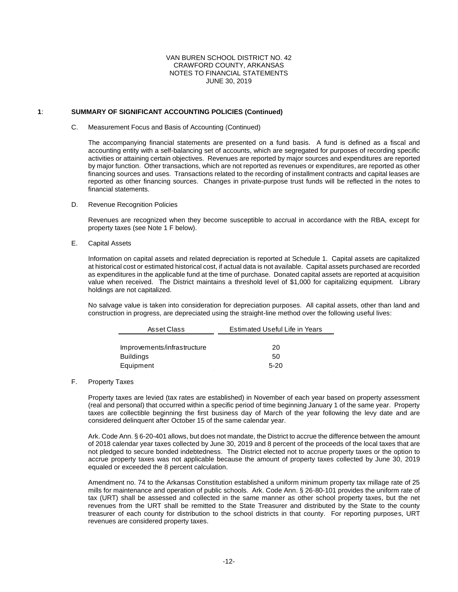## **1**: **SUMMARY OF SIGNIFICANT ACCOUNTING POLICIES (Continued)**

# C. Measurement Focus and Basis of Accounting (Continued)

The accompanying financial statements are presented on a fund basis. A fund is defined as a fiscal and accounting entity with a self-balancing set of accounts, which are segregated for purposes of recording specific activities or attaining certain objectives. Revenues are reported by major sources and expenditures are reported by major function. Other transactions, which are not reported as revenues or expenditures, are reported as other financing sources and uses. Transactions related to the recording of installment contracts and capital leases are reported as other financing sources. Changes in private-purpose trust funds will be reflected in the notes to financial statements.

#### D. Revenue Recognition Policies

Revenues are recognized when they become susceptible to accrual in accordance with the RBA, except for property taxes (see Note 1 F below).

E. Capital Assets

Information on capital assets and related depreciation is reported at Schedule 1. Capital assets are capitalized at historical cost or estimated historical cost, if actual data is not available. Capital assets purchased are recorded as expenditures in the applicable fund at the time of purchase. Donated capital assets are reported at acquisition value when received. The District maintains a threshold level of \$1,000 for capitalizing equipment. Library holdings are not capitalized.

No salvage value is taken into consideration for depreciation purposes. All capital assets, other than land and construction in progress, are depreciated using the straight-line method over the following useful lives:

| Asset Class                 | Estimated Useful Life in Years |  |  |  |  |  |
|-----------------------------|--------------------------------|--|--|--|--|--|
|                             |                                |  |  |  |  |  |
| Improvements/infrastructure | 20                             |  |  |  |  |  |
| <b>Buildings</b>            | 50                             |  |  |  |  |  |
| Equipment                   | $5-20$                         |  |  |  |  |  |

#### F. Property Taxes

Property taxes are levied (tax rates are established) in November of each year based on property assessment (real and personal) that occurred within a specific period of time beginning January 1 of the same year. Property taxes are collectible beginning the first business day of March of the year following the levy date and are considered delinquent after October 15 of the same calendar year.

Ark. Code Ann. § 6-20-401 allows, but does not mandate, the District to accrue the difference between the amount of 2018 calendar year taxes collected by June 30, 2019 and 8 percent of the proceeds of the local taxes that are not pledged to secure bonded indebtedness. The District elected not to accrue property taxes or the option to accrue property taxes was not applicable because the amount of property taxes collected by June 30, 2019 equaled or exceeded the 8 percent calculation.

Amendment no. 74 to the Arkansas Constitution established a uniform minimum property tax millage rate of 25 mills for maintenance and operation of public schools. Ark. Code Ann. § 26-80-101 provides the uniform rate of tax (URT) shall be assessed and collected in the same manner as other school property taxes, but the net revenues from the URT shall be remitted to the State Treasurer and distributed by the State to the county treasurer of each county for distribution to the school districts in that county. For reporting purposes, URT revenues are considered property taxes.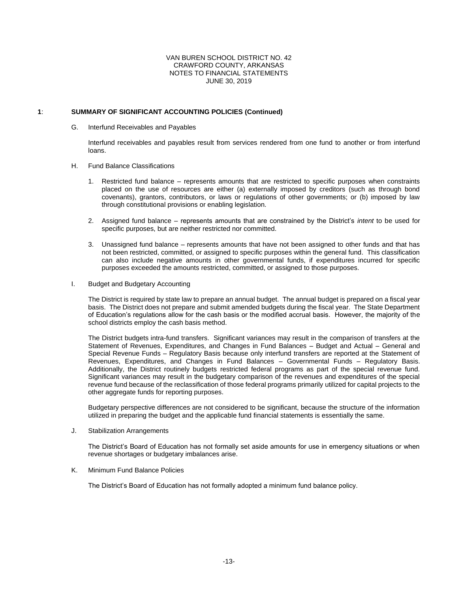# **1**: **SUMMARY OF SIGNIFICANT ACCOUNTING POLICIES (Continued)**

G. Interfund Receivables and Payables

Interfund receivables and payables result from services rendered from one fund to another or from interfund loans.

- H. Fund Balance Classifications
	- 1. Restricted fund balance represents amounts that are restricted to specific purposes when constraints placed on the use of resources are either (a) externally imposed by creditors (such as through bond covenants), grantors, contributors, or laws or regulations of other governments; or (b) imposed by law through constitutional provisions or enabling legislation.
	- 2. Assigned fund balance represents amounts that are constrained by the District's *intent* to be used for specific purposes, but are neither restricted nor committed.
	- 3. Unassigned fund balance represents amounts that have not been assigned to other funds and that has not been restricted, committed, or assigned to specific purposes within the general fund. This classification can also include negative amounts in other governmental funds, if expenditures incurred for specific purposes exceeded the amounts restricted, committed, or assigned to those purposes.
- I. Budget and Budgetary Accounting

The District is required by state law to prepare an annual budget. The annual budget is prepared on a fiscal year basis. The District does not prepare and submit amended budgets during the fiscal year. The State Department of Education's regulations allow for the cash basis or the modified accrual basis. However, the majority of the school districts employ the cash basis method.

The District budgets intra-fund transfers. Significant variances may result in the comparison of transfers at the Statement of Revenues, Expenditures, and Changes in Fund Balances – Budget and Actual – General and Special Revenue Funds – Regulatory Basis because only interfund transfers are reported at the Statement of Revenues, Expenditures, and Changes in Fund Balances – Governmental Funds – Regulatory Basis. Additionally, the District routinely budgets restricted federal programs as part of the special revenue fund. Significant variances may result in the budgetary comparison of the revenues and expenditures of the special revenue fund because of the reclassification of those federal programs primarily utilized for capital projects to the other aggregate funds for reporting purposes.

Budgetary perspective differences are not considered to be significant, because the structure of the information utilized in preparing the budget and the applicable fund financial statements is essentially the same.

J. Stabilization Arrangements

The District's Board of Education has not formally set aside amounts for use in emergency situations or when revenue shortages or budgetary imbalances arise.

K. Minimum Fund Balance Policies

The District's Board of Education has not formally adopted a minimum fund balance policy.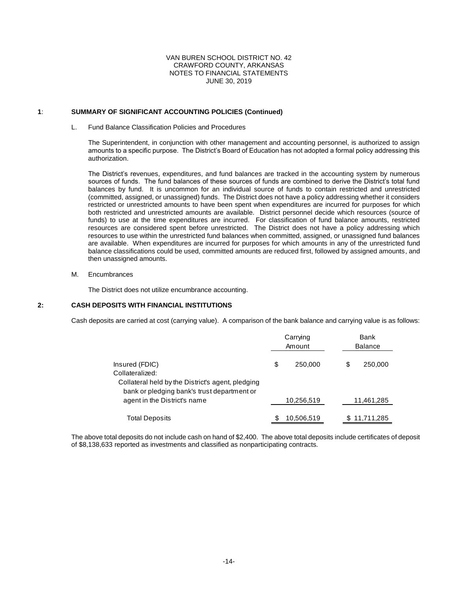# **1**: **SUMMARY OF SIGNIFICANT ACCOUNTING POLICIES (Continued)**

### L. Fund Balance Classification Policies and Procedures

The Superintendent, in conjunction with other management and accounting personnel, is authorized to assign amounts to a specific purpose. The District's Board of Education has not adopted a formal policy addressing this authorization.

The District's revenues, expenditures, and fund balances are tracked in the accounting system by numerous sources of funds. The fund balances of these sources of funds are combined to derive the District's total fund balances by fund. It is uncommon for an individual source of funds to contain restricted and unrestricted (committed, assigned, or unassigned) funds. The District does not have a policy addressing whether it considers restricted or unrestricted amounts to have been spent when expenditures are incurred for purposes for which both restricted and unrestricted amounts are available. District personnel decide which resources (source of funds) to use at the time expenditures are incurred. For classification of fund balance amounts, restricted resources are considered spent before unrestricted. The District does not have a policy addressing which resources to use within the unrestricted fund balances when committed, assigned, or unassigned fund balances are available. When expenditures are incurred for purposes for which amounts in any of the unrestricted fund balance classifications could be used, committed amounts are reduced first, followed by assigned amounts, and then unassigned amounts.

### M. Encumbrances

The District does not utilize encumbrance accounting.

### **2: CASH DEPOSITS WITH FINANCIAL INSTITUTIONS**

Cash deposits are carried at cost (carrying value). A comparison of the bank balance and carrying value is as follows:

|                                                                                                  | Carrying<br>Amount | Bank<br><b>Balance</b> |            |  |  |
|--------------------------------------------------------------------------------------------------|--------------------|------------------------|------------|--|--|
| Insured (FDIC)                                                                                   | \$<br>250,000      | \$                     | 250.000    |  |  |
| Collateralized:                                                                                  |                    |                        |            |  |  |
| Collateral held by the District's agent, pledging<br>bank or pledging bank's trust department or |                    |                        |            |  |  |
| agent in the District's name                                                                     | 10,256,519         |                        | 11,461,285 |  |  |
| <b>Total Deposits</b>                                                                            | 10,506,519         |                        | 11,711,285 |  |  |

The above total deposits do not include cash on hand of \$2,400. The above total deposits include certificates of deposit of \$8,138,633 reported as investments and classified as nonparticipating contracts.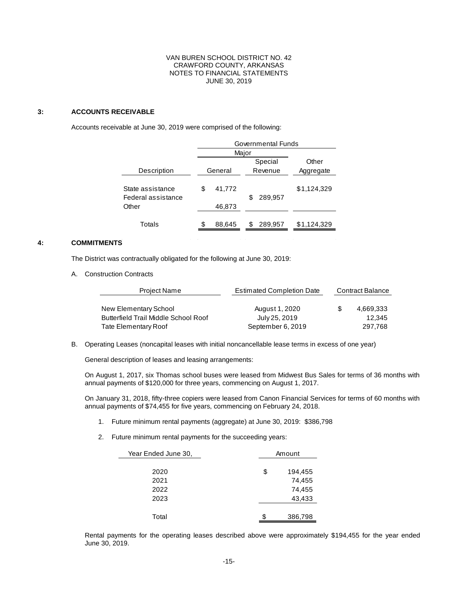# **3: ACCOUNTS RECEIVABLE**

Accounts receivable at June 30, 2019 were comprised of the following:

|                                                 | Governmental Funds     |               |             |
|-------------------------------------------------|------------------------|---------------|-------------|
|                                                 | Major                  |               |             |
|                                                 |                        | Special       | Other       |
| Description                                     | General                | Revenue       | Aggregate   |
| State assistance<br>Federal assistance<br>Other | 41,772<br>\$<br>46,873 | 289.957<br>S  | \$1,124,329 |
| Totals                                          | \$.<br>88.645          | 289,957<br>£. | \$1,124,329 |

# **4: COMMITMENTS**

The District was contractually obligated for the following at June 30, 2019:

A. Construction Contracts

| <b>Project Name</b>                         | <b>Estimated Completion Date</b> | <b>Contract Balance</b> |           |  |  |
|---------------------------------------------|----------------------------------|-------------------------|-----------|--|--|
| New Elementary School                       | August 1, 2020                   |                         | 4.669.333 |  |  |
| <b>Butterfield Trail Middle School Roof</b> | July 25, 2019                    |                         | 12.345    |  |  |
| Tate Elementary Roof                        | September 6, 2019                |                         | 297.768   |  |  |

B. Operating Leases (noncapital leases with initial noncancellable lease terms in excess of one year)

General description of leases and leasing arrangements:

On August 1, 2017, six Thomas school buses were leased from Midwest Bus Sales for terms of 36 months with annual payments of \$120,000 for three years, commencing on August 1, 2017.

On January 31, 2018, fifty-three copiers were leased from Canon Financial Services for terms of 60 months with annual payments of \$74,455 for five years, commencing on February 24, 2018.

- 1. Future minimum rental payments (aggregate) at June 30, 2019: \$386,798
- 2. Future minimum rental payments for the succeeding years:

| Year Ended June 30, | Amount        |
|---------------------|---------------|
| 2020                | \$<br>194,455 |
| 2021                | 74,455        |
| 2022                | 74,455        |
| 2023                | 43,433        |
|                     |               |
| Total               | \$<br>386,798 |

Rental payments for the operating leases described above were approximately \$194,455 for the year ended June 30, 2019.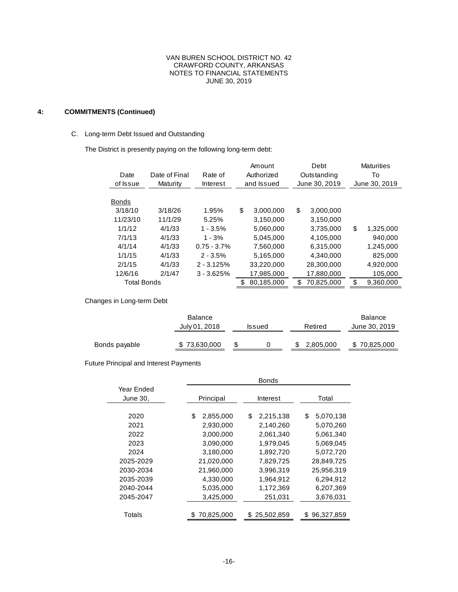# **4: COMMITMENTS (Continued)**

# C. Long-term Debt Issued and Outstanding

The District is presently paying on the following long-term debt:

|                    |               |                |    | Amount     |     | Debt       | <b>Maturities</b> |               |               |
|--------------------|---------------|----------------|----|------------|-----|------------|-------------------|---------------|---------------|
| Date               | Date of Final | Rate of        |    | Authorized |     |            |                   | Outstanding   | Т٥            |
| of Issue           | Maturity      | Interest       |    | and Issued |     |            |                   | June 30, 2019 | June 30, 2019 |
|                    |               |                |    |            |     |            |                   |               |               |
| <b>Bonds</b>       |               |                |    |            |     |            |                   |               |               |
| 3/18/10            | 3/18/26       | 1.95%          | \$ | 3,000,000  | \$  | 3,000,000  |                   |               |               |
| 11/23/10           | 11/1/29       | 5.25%          |    | 3,150,000  |     | 3,150,000  |                   |               |               |
| 1/1/12             | 4/1/33        | $1 - 3.5\%$    |    | 5,060,000  |     | 3,735,000  | \$<br>1,325,000   |               |               |
| 7/1/13             | 4/1/33        | $1 - 3%$       |    | 5.045.000  |     | 4.105.000  | 940.000           |               |               |
| 4/1/14             | 4/1/33        | $0.75 - 3.7\%$ |    | 7,560,000  |     | 6,315,000  | 1,245,000         |               |               |
| 1/1/15             | 4/1/33        | $2 - 3.5%$     |    | 5.165.000  |     | 4.340.000  | 825,000           |               |               |
| 2/1/15             | 4/1/33        | $2 - 3.125%$   |    | 33,220,000 |     | 28,300,000 | 4,920,000         |               |               |
| 12/6/16            | 2/1/47        | $3 - 3.625%$   |    | 17,985,000 |     | 17,880,000 | 105,000           |               |               |
| <b>Total Bonds</b> |               |                |    | 80,185,000 | \$. | 70,825,000 | \$<br>9,360,000   |               |               |

 $\sim$   $\sim$ 

 $\mathcal{L}(\mathcal{L})$ 

 $\bar{z}$ 

# Changes in Long-term Debt

|               | <b>Balance</b> |               |           | <b>Balance</b> |
|---------------|----------------|---------------|-----------|----------------|
|               | July 01, 2018  | <b>Issued</b> | Retired   | June 30, 2019  |
| Bonds payable | \$73,630,000   |               | 2,805,000 | \$70,825,000   |
|               |                |               |           |                |

 $\sim 10^{-1}$ 

 $\sim$   $\sim$ 

Future Principal and Interest Payments

|            | <b>Bonds</b>    |                 |                 |  |  |  |  |  |
|------------|-----------------|-----------------|-----------------|--|--|--|--|--|
| Year Ended |                 |                 |                 |  |  |  |  |  |
| June 30,   | Principal       | Interest        | Total           |  |  |  |  |  |
|            |                 |                 |                 |  |  |  |  |  |
| 2020       | \$<br>2,855,000 | \$<br>2,215,138 | 5,070,138<br>\$ |  |  |  |  |  |
| 2021       | 2,930,000       | 2,140,260       | 5.070.260       |  |  |  |  |  |
| 2022       | 3,000,000       | 2,061,340       | 5,061,340       |  |  |  |  |  |
| 2023       | 3,090,000       | 1,979,045       | 5,069,045       |  |  |  |  |  |
| 2024       | 3,180,000       | 1,892,720       | 5,072,720       |  |  |  |  |  |
| 2025-2029  | 21,020,000      | 7.829.725       | 28.849.725      |  |  |  |  |  |
| 2030-2034  | 21,960,000      | 3,996,319       | 25,956,319      |  |  |  |  |  |
| 2035-2039  | 4,330,000       | 1,964,912       | 6,294,912       |  |  |  |  |  |
| 2040-2044  | 5,035,000       | 1,172,369       | 6,207,369       |  |  |  |  |  |
| 2045-2047  | 3,425,000       | 251,031         | 3,676,031       |  |  |  |  |  |
|            |                 |                 |                 |  |  |  |  |  |
| Totals     | 70,825,000      | 25,502,859      | 96,327,859      |  |  |  |  |  |
|            |                 |                 |                 |  |  |  |  |  |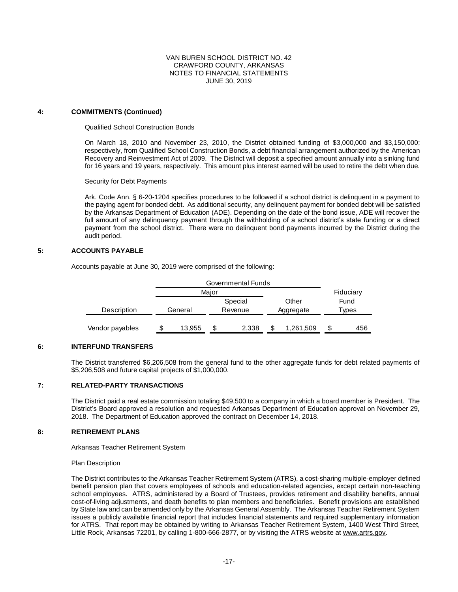#### **4: COMMITMENTS (Continued)**

#### Qualified School Construction Bonds

On March 18, 2010 and November 23, 2010, the District obtained funding of \$3,000,000 and \$3,150,000; respectively, from Qualified School Construction Bonds, a debt financial arrangement authorized by the American Recovery and Reinvestment Act of 2009. The District will deposit a specified amount annually into a sinking fund for 16 years and 19 years, respectively. This amount plus interest earned will be used to retire the debt when due.

Security for Debt Payments

Ark. Code Ann. § 6-20-1204 specifies procedures to be followed if a school district is delinquent in a payment to the paying agent for bonded debt. As additional security, any delinquent payment for bonded debt will be satisfied by the Arkansas Department of Education (ADE). Depending on the date of the bond issue, ADE will recover the full amount of any delinquency payment through the withholding of a school district's state funding or a direct payment from the school district. There were no delinquent bond payments incurred by the District during the audit period.

# **5: ACCOUNTS PAYABLE**

Accounts payable at June 30, 2019 were comprised of the following:

|                 |         | Governmental Funds |       |         |   |           |       |           |
|-----------------|---------|--------------------|-------|---------|---|-----------|-------|-----------|
|                 |         |                    | Maior |         |   |           |       | Fiduciary |
|                 | Special |                    |       |         |   | Other     |       | Fund      |
| Description     |         | General            |       | Revenue |   | Aggregate | Types |           |
| Vendor payables |         | 13,955             | S     | 2.338   | S | 1,261,509 | \$    | 456       |
|                 |         |                    |       |         |   |           |       |           |

### **6: INTERFUND TRANSFERS**

The District transferred \$6,206,508 from the general fund to the other aggregate funds for debt related payments of \$5,206,508 and future capital projects of \$1,000,000.

### **7: RELATED-PARTY TRANSACTIONS**

The District paid a real estate commission totaling \$49,500 to a company in which a board member is President. The District's Board approved a resolution and requested Arkansas Department of Education approval on November 29, 2018. The Department of Education approved the contract on December 14, 2018.

## **8: RETIREMENT PLANS**

Arkansas Teacher Retirement System

#### Plan Description

The District contributes to the Arkansas Teacher Retirement System (ATRS), a cost-sharing multiple-employer defined benefit pension plan that covers employees of schools and education-related agencies, except certain non-teaching school employees. ATRS, administered by a Board of Trustees, provides retirement and disability benefits, annual cost-of-living adjustments, and death benefits to plan members and beneficiaries. Benefit provisions are established by State law and can be amended only by the Arkansas General Assembly. The Arkansas Teacher Retirement System issues a publicly available financial report that includes financial statements and required supplementary information for ATRS. That report may be obtained by writing to Arkansas Teacher Retirement System, 1400 West Third Street, Little Rock, Arkansas 72201, by calling 1-800-666-2877, or by visiting the ATRS website at www.artrs.gov.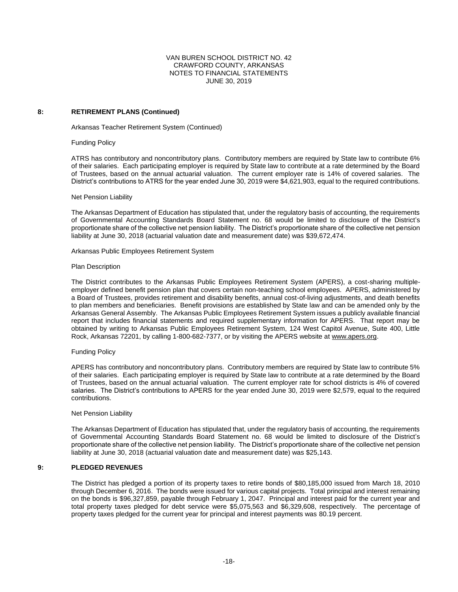#### **8: RETIREMENT PLANS (Continued)**

Arkansas Teacher Retirement System (Continued)

#### Funding Policy

ATRS has contributory and noncontributory plans. Contributory members are required by State law to contribute 6% of their salaries. Each participating employer is required by State law to contribute at a rate determined by the Board of Trustees, based on the annual actuarial valuation. The current employer rate is 14% of covered salaries. The District's contributions to ATRS for the year ended June 30, 2019 were \$4,621,903, equal to the required contributions.

#### Net Pension Liability

The Arkansas Department of Education has stipulated that, under the regulatory basis of accounting, the requirements of Governmental Accounting Standards Board Statement no. 68 would be limited to disclosure of the District's proportionate share of the collective net pension liability. The District's proportionate share of the collective net pension liability at June 30, 2018 (actuarial valuation date and measurement date) was \$39,672,474.

#### Arkansas Public Employees Retirement System

#### Plan Description

The District contributes to the Arkansas Public Employees Retirement System (APERS), a cost-sharing multipleemployer defined benefit pension plan that covers certain non-teaching school employees. APERS, administered by a Board of Trustees, provides retirement and disability benefits, annual cost-of-living adjustments, and death benefits to plan members and beneficiaries. Benefit provisions are established by State law and can be amended only by the Arkansas General Assembly. The Arkansas Public Employees Retirement System issues a publicly available financial report that includes financial statements and required supplementary information for APERS. That report may be obtained by writing to Arkansas Public Employees Retirement System, 124 West Capitol Avenue, Suite 400, Little Rock, Arkansas 72201, by calling 1-800-682-7377, or by visiting the APERS website at www.apers.org.

#### Funding Policy

APERS has contributory and noncontributory plans. Contributory members are required by State law to contribute 5% of their salaries. Each participating employer is required by State law to contribute at a rate determined by the Board of Trustees, based on the annual actuarial valuation. The current employer rate for school districts is 4% of covered salaries. The District's contributions to APERS for the year ended June 30, 2019 were \$2,579, equal to the required contributions.

#### Net Pension Liability

The Arkansas Department of Education has stipulated that, under the regulatory basis of accounting, the requirements of Governmental Accounting Standards Board Statement no. 68 would be limited to disclosure of the District's proportionate share of the collective net pension liability. The District's proportionate share of the collective net pension liability at June 30, 2018 (actuarial valuation date and measurement date) was \$25,143.

### **9: PLEDGED REVENUES**

The District has pledged a portion of its property taxes to retire bonds of \$80,185,000 issued from March 18, 2010 through December 6, 2016. The bonds were issued for various capital projects. Total principal and interest remaining on the bonds is \$96,327,859, payable through February 1, 2047. Principal and interest paid for the current year and total property taxes pledged for debt service were \$5,075,563 and \$6,329,608, respectively. The percentage of property taxes pledged for the current year for principal and interest payments was 80.19 percent.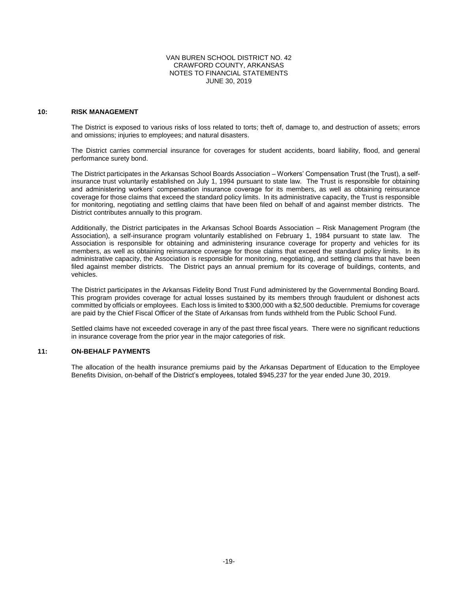#### **10: RISK MANAGEMENT**

The District is exposed to various risks of loss related to torts; theft of, damage to, and destruction of assets; errors and omissions; injuries to employees; and natural disasters.

The District carries commercial insurance for coverages for student accidents, board liability, flood, and general performance surety bond.

The District participates in the Arkansas School Boards Association – Workers' Compensation Trust (the Trust), a selfinsurance trust voluntarily established on July 1, 1994 pursuant to state law. The Trust is responsible for obtaining and administering workers' compensation insurance coverage for its members, as well as obtaining reinsurance coverage for those claims that exceed the standard policy limits. In its administrative capacity, the Trust is responsible for monitoring, negotiating and settling claims that have been filed on behalf of and against member districts. The District contributes annually to this program.

Additionally, the District participates in the Arkansas School Boards Association – Risk Management Program (the Association), a self-insurance program voluntarily established on February 1, 1984 pursuant to state law. The Association is responsible for obtaining and administering insurance coverage for property and vehicles for its members, as well as obtaining reinsurance coverage for those claims that exceed the standard policy limits. In its administrative capacity, the Association is responsible for monitoring, negotiating, and settling claims that have been filed against member districts. The District pays an annual premium for its coverage of buildings, contents, and vehicles.

The District participates in the Arkansas Fidelity Bond Trust Fund administered by the Governmental Bonding Board. This program provides coverage for actual losses sustained by its members through fraudulent or dishonest acts committed by officials or employees. Each loss is limited to \$300,000 with a \$2,500 deductible. Premiums for coverage are paid by the Chief Fiscal Officer of the State of Arkansas from funds withheld from the Public School Fund.

Settled claims have not exceeded coverage in any of the past three fiscal years. There were no significant reductions in insurance coverage from the prior year in the major categories of risk.

#### **11: ON-BEHALF PAYMENTS**

The allocation of the health insurance premiums paid by the Arkansas Department of Education to the Employee Benefits Division, on-behalf of the District's employees, totaled \$945,237 for the year ended June 30, 2019.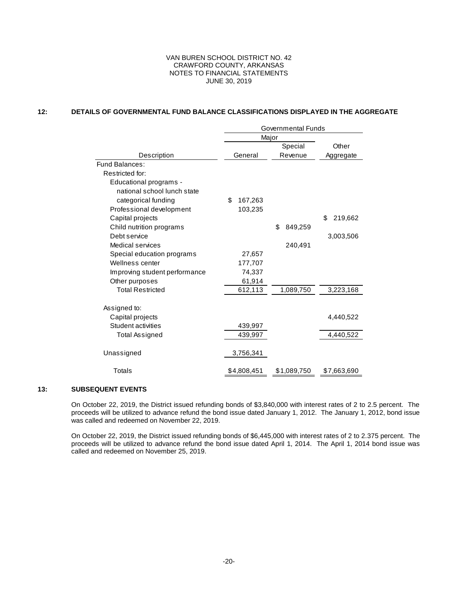# **12: DETAILS OF GOVERNMENTAL FUND BALANCE CLASSIFICATIONS DISPLAYED IN THE AGGREGATE**

|                               | Governmental Funds |             |               |               |  |  |  |  |
|-------------------------------|--------------------|-------------|---------------|---------------|--|--|--|--|
|                               |                    |             | Major         |               |  |  |  |  |
|                               |                    |             | Special       | Other         |  |  |  |  |
| Description                   |                    | General     | Revenue       | Aggregate     |  |  |  |  |
| Fund Balances:                |                    |             |               |               |  |  |  |  |
| Restricted for:               |                    |             |               |               |  |  |  |  |
| Educational programs -        |                    |             |               |               |  |  |  |  |
| national school lunch state   |                    |             |               |               |  |  |  |  |
| categorical funding           | \$                 | 167,263     |               |               |  |  |  |  |
| Professional development      |                    | 103,235     |               |               |  |  |  |  |
| Capital projects              |                    |             |               | \$<br>219,662 |  |  |  |  |
| Child nutrition programs      |                    |             | \$<br>849,259 |               |  |  |  |  |
| Debt service                  |                    |             |               | 3,003,506     |  |  |  |  |
| Medical services              |                    |             | 240,491       |               |  |  |  |  |
| Special education programs    |                    | 27,657      |               |               |  |  |  |  |
| Wellness center               |                    | 177,707     |               |               |  |  |  |  |
| Improving student performance |                    | 74,337      |               |               |  |  |  |  |
| Other purposes                |                    | 61,914      |               |               |  |  |  |  |
| <b>Total Restricted</b>       |                    | 612,113     | 1,089,750     | 3,223,168     |  |  |  |  |
| Assigned to:                  |                    |             |               |               |  |  |  |  |
| Capital projects              |                    |             |               | 4,440,522     |  |  |  |  |
| Student activities            |                    | 439,997     |               |               |  |  |  |  |
| <b>Total Assigned</b>         |                    | 439,997     |               | 4,440,522     |  |  |  |  |
|                               |                    |             |               |               |  |  |  |  |
| Unassigned                    |                    | 3,756,341   |               |               |  |  |  |  |
| Totals                        |                    | \$4,808,451 | \$1,089,750   | \$7,663,690   |  |  |  |  |

# **13: SUBSEQUENT EVENTS**

On October 22, 2019, the District issued refunding bonds of \$3,840,000 with interest rates of 2 to 2.5 percent. The proceeds will be utilized to advance refund the bond issue dated January 1, 2012. The January 1, 2012, bond issue was called and redeemed on November 22, 2019.

On October 22, 2019, the District issued refunding bonds of \$6,445,000 with interest rates of 2 to 2.375 percent. The proceeds will be utilized to advance refund the bond issue dated April 1, 2014. The April 1, 2014 bond issue was called and redeemed on November 25, 2019.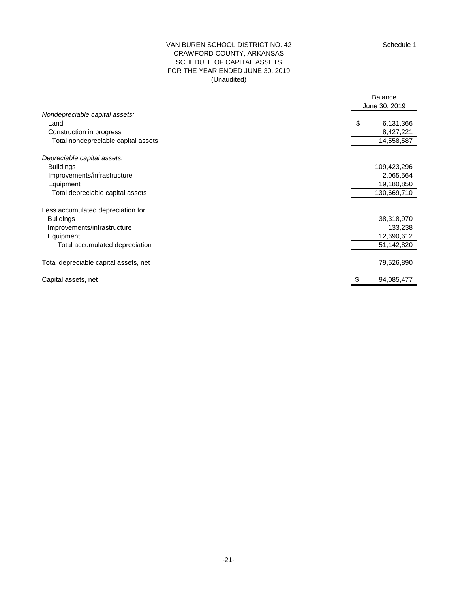# (Unaudited) VAN BUREN SCHOOL DISTRICT NO. 42 CRAWFORD COUNTY, ARKANSAS SCHEDULE OF CAPITAL ASSETS FOR THE YEAR ENDED JUNE 30, 2019

|                                       | <b>Balance</b> |               |  |  |  |
|---------------------------------------|----------------|---------------|--|--|--|
|                                       |                | June 30, 2019 |  |  |  |
| Nondepreciable capital assets:        |                |               |  |  |  |
| Land                                  | \$             | 6,131,366     |  |  |  |
| Construction in progress              |                | 8,427,221     |  |  |  |
| Total nondepreciable capital assets   |                | 14,558,587    |  |  |  |
| Depreciable capital assets:           |                |               |  |  |  |
| <b>Buildings</b>                      |                | 109,423,296   |  |  |  |
| Improvements/infrastructure           |                | 2,065,564     |  |  |  |
| Equipment                             |                | 19,180,850    |  |  |  |
| Total depreciable capital assets      |                | 130,669,710   |  |  |  |
| Less accumulated depreciation for:    |                |               |  |  |  |
| <b>Buildings</b>                      |                | 38,318,970    |  |  |  |
| Improvements/infrastructure           |                | 133,238       |  |  |  |
| Equipment                             |                | 12,690,612    |  |  |  |
| Total accumulated depreciation        |                | 51,142,820    |  |  |  |
| Total depreciable capital assets, net |                | 79,526,890    |  |  |  |
| Capital assets, net                   |                | 94,085,477    |  |  |  |
|                                       |                |               |  |  |  |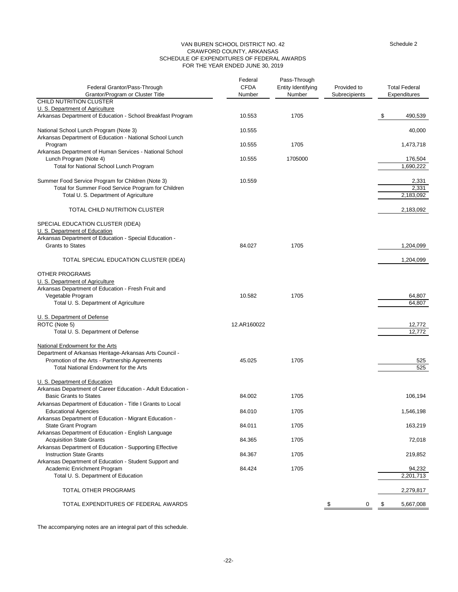#### VAN BUREN SCHOOL DISTRICT NO. 42 CRAWFORD COUNTY, ARKANSAS SCHEDULE OF EXPENDITURES OF FEDERAL AWARDS FOR THE YEAR ENDED JUNE 30, 2019

| Federal Grantor/Pass-Through<br>Grantor/Program or Cluster Title                                        | Federal<br><b>CFDA</b><br>Number | Pass-Through<br>Entity Identifying<br>Number | Provided to<br>Subrecipients | <b>Total Federal</b><br>Expenditures |
|---------------------------------------------------------------------------------------------------------|----------------------------------|----------------------------------------------|------------------------------|--------------------------------------|
| CHILD NUTRITION CLUSTER                                                                                 |                                  |                                              |                              |                                      |
| U. S. Department of Agriculture<br>Arkansas Department of Education - School Breakfast Program          | 10.553                           | 1705                                         |                              | \$<br>490,539                        |
| National School Lunch Program (Note 3)<br>Arkansas Department of Education - National School Lunch      | 10.555                           |                                              |                              | 40,000                               |
| Program<br>Arkansas Department of Human Services - National School                                      | 10.555                           | 1705                                         |                              | 1,473,718                            |
| Lunch Program (Note 4)                                                                                  | 10.555                           | 1705000                                      |                              | 176,504                              |
| Total for National School Lunch Program                                                                 |                                  |                                              |                              | 1,690,222                            |
| Summer Food Service Program for Children (Note 3)<br>Total for Summer Food Service Program for Children | 10.559                           |                                              |                              | 2,331                                |
| Total U. S. Department of Agriculture                                                                   |                                  |                                              |                              | 2,331<br>2,183,092                   |
| TOTAL CHILD NUTRITION CLUSTER                                                                           |                                  |                                              |                              | 2,183,092                            |
| SPECIAL EDUCATION CLUSTER (IDEA)<br>U. S. Department of Education                                       |                                  |                                              |                              |                                      |
| Arkansas Department of Education - Special Education -                                                  |                                  |                                              |                              |                                      |
| <b>Grants to States</b>                                                                                 | 84.027                           | 1705                                         |                              | 1,204,099                            |
| TOTAL SPECIAL EDUCATION CLUSTER (IDEA)                                                                  |                                  |                                              |                              | 1,204,099                            |
| <b>OTHER PROGRAMS</b>                                                                                   |                                  |                                              |                              |                                      |
| U. S. Department of Agriculture                                                                         |                                  |                                              |                              |                                      |
| Arkansas Department of Education - Fresh Fruit and<br>Vegetable Program                                 | 10.582                           | 1705                                         |                              | 64,807                               |
| Total U. S. Department of Agriculture                                                                   |                                  |                                              |                              | 64,807                               |
| U. S. Department of Defense                                                                             |                                  |                                              |                              |                                      |
| ROTC (Note 5)                                                                                           | 12.AR160022                      |                                              |                              | 12,772                               |
| Total U. S. Department of Defense                                                                       |                                  |                                              |                              | 12.772                               |
| National Endowment for the Arts<br>Department of Arkansas Heritage-Arkansas Arts Council -              |                                  |                                              |                              |                                      |
| Promotion of the Arts - Partnership Agreements                                                          | 45.025                           | 1705                                         |                              | 525                                  |
| Total National Endowment for the Arts                                                                   |                                  |                                              |                              | 525                                  |
| U. S. Department of Education<br>Arkansas Department of Career Education - Adult Education -            |                                  |                                              |                              |                                      |
| <b>Basic Grants to States</b>                                                                           | 84.002                           | 1705                                         |                              | 106,194                              |
| Arkansas Department of Education - Title I Grants to Local                                              |                                  |                                              |                              |                                      |
| <b>Educational Agencies</b><br>Arkansas Department of Education - Migrant Education -                   | 84.010                           | 1705                                         |                              | 1,546,198                            |
| <b>State Grant Program</b><br>Arkansas Department of Education - English Language                       | 84.011                           | 1705                                         |                              | 163,219                              |
| <b>Acquisition State Grants</b><br>Arkansas Department of Education - Supporting Effective              | 84.365                           | 1705                                         |                              | 72,018                               |
| <b>Instruction State Grants</b>                                                                         | 84.367                           | 1705                                         |                              | 219,852                              |
| Arkansas Department of Education - Student Support and<br>Academic Enrichment Program                   | 84.424                           | 1705                                         |                              | 94,232                               |
| Total U. S. Department of Education                                                                     |                                  |                                              |                              | 2,201,713                            |
| TOTAL OTHER PROGRAMS                                                                                    |                                  |                                              |                              | 2,279,817                            |
| TOTAL EXPENDITURES OF FEDERAL AWARDS                                                                    |                                  |                                              | 0<br>\$                      | 5,667,008                            |

The accompanying notes are an integral part of this schedule.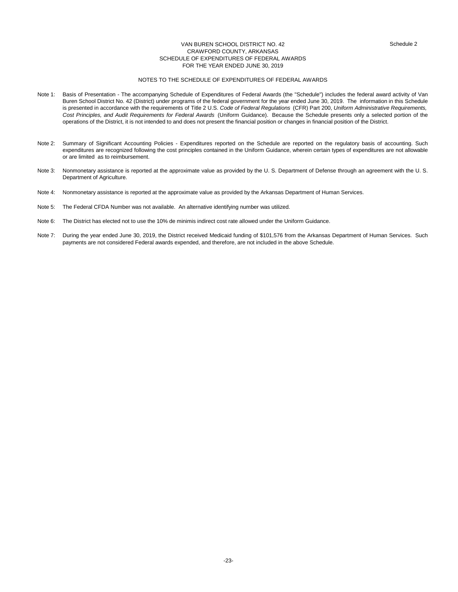#### VAN BUREN SCHOOL DISTRICT NO. 42 Schedule 2 CRAWFORD COUNTY, ARKANSAS SCHEDULE OF EXPENDITURES OF FEDERAL AWARDS FOR THE YEAR ENDED JUNE 30, 2019

#### NOTES TO THE SCHEDULE OF EXPENDITURES OF FEDERAL AWARDS

- Basis of Presentation The accompanying Schedule of Expenditures of Federal Awards (the "Schedule") includes the federal award activity of Van Buren School District No. 42 (District) under programs of the federal government for the year ended June 30, 2019. The information in this Schedule is presented in accordance with the requirements of Title 2 U.S. *Code of Federal Regulations* (CFR) Part 200, *Uniform Administrative Requirements, Cost Principles, and Audit Requirements for Federal Awards* (Uniform Guidance). Because the Schedule presents only a selected portion of the operations of the District, it is not intended to and does not present the financial position or changes in financial position of the District. Note 1:
- Note 2: Summary of Significant Accounting Policies Expenditures reported on the Schedule are reported on the regulatory basis of accounting. Such expenditures are recognized following the cost principles contained in the Uniform Guidance, wherein certain types of expenditures are not allowable or are limited as to reimbursement.
- Nonmonetary assistance is reported at the approximate value as provided by the U. S. Department of Defense through an agreement with the U. S. Department of Agriculture. Note 3:
- Note 4: Nonmonetary assistance is reported at the approximate value as provided by the Arkansas Department of Human Services.
- Note 5: The Federal CFDA Number was not available. An alternative identifying number was utilized.
- Note 6: The District has elected not to use the 10% de minimis indirect cost rate allowed under the Uniform Guidance.
- Note 7: During the year ended June 30, 2019, the District received Medicaid funding of \$101,576 from the Arkansas Department of Human Services. Such payments are not considered Federal awards expended, and therefore, are not included in the above Schedule.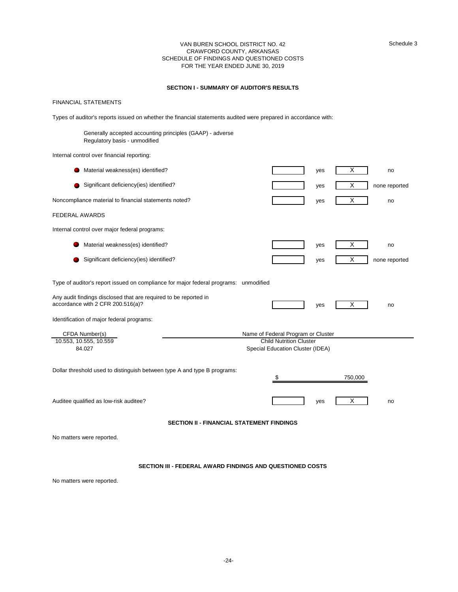#### VAN BUREN SCHOOL DISTRICT NO. 42 CRAWFORD COUNTY, ARKANSAS SCHEDULE OF FINDINGS AND QUESTIONED COSTS FOR THE YEAR ENDED JUNE 30, 2019

## **SECTION I - SUMMARY OF AUDITOR'S RESULTS**

#### FINANCIAL STATEMENTS

Types of auditor's reports issued on whether the financial statements audited were prepared in accordance with:

Regulatory basis - unmodified Generally accepted accounting principles (GAAP) - adverse

Internal control over financial reporting:

| Material weakness(es) identified?                                                                     | Х<br>no<br>yes                                                     |  |  |  |  |  |  |  |  |
|-------------------------------------------------------------------------------------------------------|--------------------------------------------------------------------|--|--|--|--|--|--|--|--|
| Significant deficiency(ies) identified?                                                               | X<br>none reported<br>yes                                          |  |  |  |  |  |  |  |  |
| Noncompliance material to financial statements noted?                                                 | X<br>yes<br>no                                                     |  |  |  |  |  |  |  |  |
| <b>FEDERAL AWARDS</b>                                                                                 |                                                                    |  |  |  |  |  |  |  |  |
| Internal control over major federal programs:                                                         |                                                                    |  |  |  |  |  |  |  |  |
| Material weakness(es) identified?                                                                     | X<br>yes<br>no                                                     |  |  |  |  |  |  |  |  |
| Significant deficiency(ies) identified?                                                               | X<br>none reported<br>yes                                          |  |  |  |  |  |  |  |  |
| Type of auditor's report issued on compliance for major federal programs: unmodified                  |                                                                    |  |  |  |  |  |  |  |  |
| Any audit findings disclosed that are required to be reported in<br>accordance with 2 CFR 200.516(a)? | X<br>yes<br>no                                                     |  |  |  |  |  |  |  |  |
| Identification of major federal programs:                                                             |                                                                    |  |  |  |  |  |  |  |  |
| CFDA Number(s)                                                                                        | Name of Federal Program or Cluster                                 |  |  |  |  |  |  |  |  |
| 10.553, 10.555, 10.559<br>84.027                                                                      | <b>Child Nutrition Cluster</b><br>Special Education Cluster (IDEA) |  |  |  |  |  |  |  |  |
| Dollar threshold used to distinguish between type A and type B programs:                              | 750,000<br>\$                                                      |  |  |  |  |  |  |  |  |
| Auditee qualified as low-risk auditee?                                                                | Х<br>yes<br>no                                                     |  |  |  |  |  |  |  |  |
| <b>SECTION II - FINANCIAL STATEMENT FINDINGS</b>                                                      |                                                                    |  |  |  |  |  |  |  |  |

No matters were reported.

**SECTION III - FEDERAL AWARD FINDINGS AND QUESTIONED COSTS**

No matters were reported.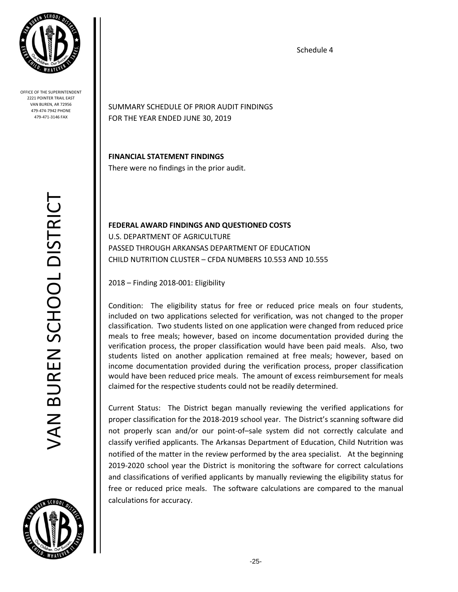

OFFICE OF THE SUPERINTENDENT 2221 POINTER TRAIL EAST VAN BUREN, AR 72956 479-474-7942 PHONE 479-471-3146 FAX

> VAN BUREN SCHOOL DISTRICT **VAN BUREN SCHOOL DISTRICT**



SUMMARY SCHEDULE OF PRIOR AUDIT FINDINGS FOR THE YEAR ENDED JUNE 30, 2019

**FINANCIAL STATEMENT FINDINGS**

There were no findings in the prior audit.

**FEDERAL AWARD FINDINGS AND QUESTIONED COSTS** U.S. DEPARTMENT OF AGRICULTURE PASSED THROUGH ARKANSAS DEPARTMENT OF EDUCATION CHILD NUTRITION CLUSTER – CFDA NUMBERS 10.553 AND 10.555

2018 – Finding 2018-001: Eligibility

Condition: The eligibility status for free or reduced price meals on four students, included on two applications selected for verification, was not changed to the proper classification. Two students listed on one application were changed from reduced price meals to free meals; however, based on income documentation provided during the verification process, the proper classification would have been paid meals. Also, two students listed on another application remained at free meals; however, based on income documentation provided during the verification process, proper classification would have been reduced price meals. The amount of excess reimbursement for meals claimed for the respective students could not be readily determined.

Current Status: The District began manually reviewing the verified applications for proper classification for the 2018-2019 school year. The District's scanning software did not properly scan and/or our point-of–sale system did not correctly calculate and classify verified applicants. The Arkansas Department of Education, Child Nutrition was notified of the matter in the review performed by the area specialist. At the beginning 2019-2020 school year the District is monitoring the software for correct calculations and classifications of verified applicants by manually reviewing the eligibility status for free or reduced price meals. The software calculations are compared to the manual calculations for accuracy.

Schedule 4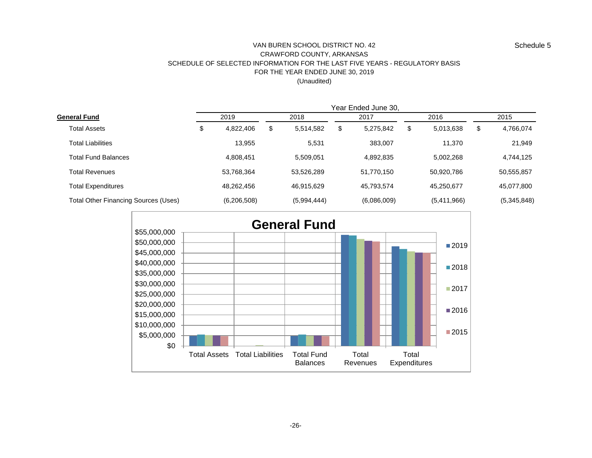# Schedule 5

# VAN BUREN SCHOOL DISTRICT NO. 42 CRAWFORD COUNTY, ARKANSAS SCHEDULE OF SELECTED INFORMATION FOR THE LAST FIVE YEARS - REGULATORY BASIS FOR THE YEAR ENDED JUNE 30, 2019 (Unaudited)

|                                             | Year Ended June 30, |             |      |             |      |             |      |             |      |             |
|---------------------------------------------|---------------------|-------------|------|-------------|------|-------------|------|-------------|------|-------------|
| General Fund                                | 2019                |             | 2018 |             | 2017 |             | 2016 |             | 2015 |             |
| <b>Total Assets</b>                         | \$                  | 4,822,406   | \$   | 5,514,582   | \$   | 5,275,842   | \$   | 5,013,638   | \$   | 4,766,074   |
| <b>Total Liabilities</b>                    |                     | 13,955      |      | 5,531       |      | 383,007     |      | 11.370      |      | 21,949      |
| <b>Total Fund Balances</b>                  |                     | 4,808,451   |      | 5.509.051   |      | 4,892,835   |      | 5.002.268   |      | 4,744,125   |
| <b>Total Revenues</b>                       |                     | 53,768,364  |      | 53,526,289  |      | 51,770,150  |      | 50,920,786  |      | 50,555,857  |
| <b>Total Expenditures</b>                   |                     | 48,262,456  |      | 46,915,629  |      | 45,793,574  |      | 45,250,677  |      | 45,077,800  |
| <b>Total Other Financing Sources (Uses)</b> |                     | (6,206,508) |      | (5,994,444) |      | (6,086,009) |      | (5,411,966) |      | (5,345,848) |

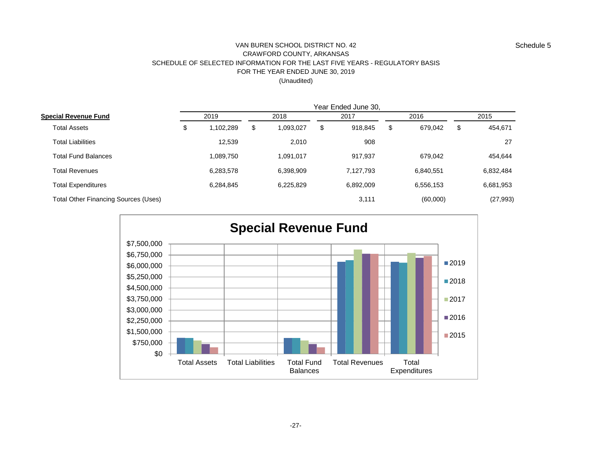# VAN BUREN SCHOOL DISTRICT NO. 42 CRAWFORD COUNTY, ARKANSAS SCHEDULE OF SELECTED INFORMATION FOR THE LAST FIVE YEARS - REGULATORY BASIS FOR THE YEAR ENDED JUNE 30, 2019 (Unaudited)

|                                             | Year Ended June 30, |               |               |               |  |  |  |  |  |  |
|---------------------------------------------|---------------------|---------------|---------------|---------------|--|--|--|--|--|--|
| 2019<br>Special Revenue Fund                | 2018                | 2017          | 2016          | 2015          |  |  |  |  |  |  |
| \$<br><b>Total Assets</b><br>1,102,289      | \$<br>1,093,027     | \$<br>918,845 | \$<br>679,042 | \$<br>454,671 |  |  |  |  |  |  |
| <b>Total Liabilities</b><br>12,539          | 2,010               | 908           |               | 27            |  |  |  |  |  |  |
| <b>Total Fund Balances</b><br>1,089,750     | 1,091,017           | 917,937       | 679,042       | 454.644       |  |  |  |  |  |  |
| <b>Total Revenues</b><br>6,283,578          | 6,398,909           | 7,127,793     | 6,840,551     | 6,832,484     |  |  |  |  |  |  |
| 6,284,845<br><b>Total Expenditures</b>      | 6,225,829           | 6,892,009     | 6,556,153     | 6,681,953     |  |  |  |  |  |  |
| <b>Total Other Financing Sources (Uses)</b> |                     | 3,111         | (60,000)      | (27, 993)     |  |  |  |  |  |  |



Schedule 5